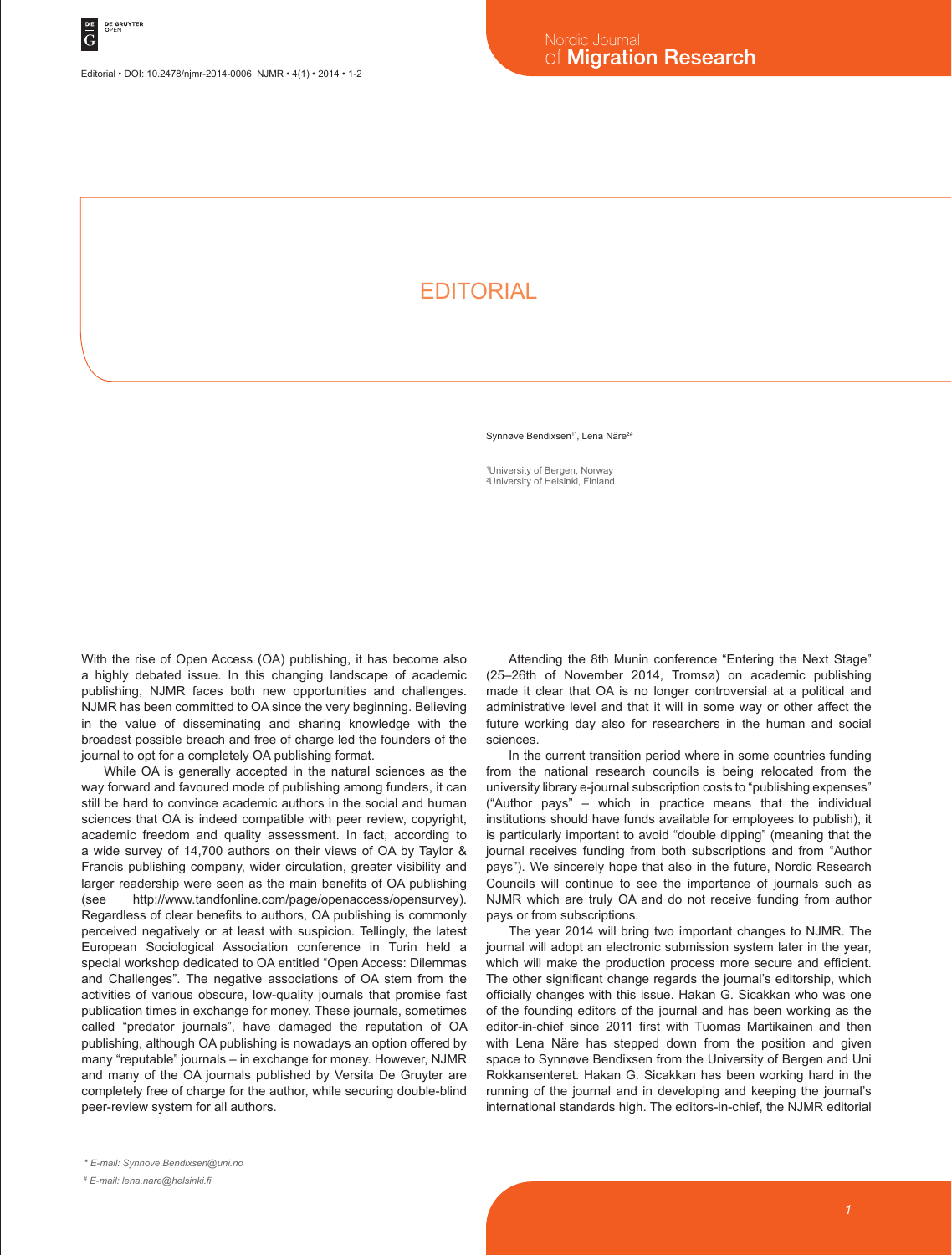## **FDITORIAL**

Synnøve Bendixsen<sup>1\*</sup>, Lena Näre<sup>2#</sup>

1 University of Bergen, Norway 2 University of Helsinki, Finland

With the rise of Open Access (OA) publishing, it has become also a highly debated issue. In this changing landscape of academic publishing, NJMR faces both new opportunities and challenges. NJMR has been committed to OA since the very beginning. Believing in the value of disseminating and sharing knowledge with the broadest possible breach and free of charge led the founders of the journal to opt for a completely OA publishing format.

While OA is generally accepted in the natural sciences as the way forward and favoured mode of publishing among funders, it can still be hard to convince academic authors in the social and human sciences that OA is indeed compatible with peer review, copyright, academic freedom and quality assessment. In fact, according to a wide survey of 14,700 authors on their views of OA by Taylor & Francis publishing company, wider circulation, greater visibility and larger readership were seen as the main benefits of OA publishing (see http://www.tandfonline.com/page/openaccess/opensurvey). Regardless of clear benefits to authors, OA publishing is commonly perceived negatively or at least with suspicion. Tellingly, the latest European Sociological Association conference in Turin held a special workshop dedicated to OA entitled "Open Access: Dilemmas and Challenges". The negative associations of OA stem from the activities of various obscure, low-quality journals that promise fast publication times in exchange for money. These journals, sometimes called "predator journals", have damaged the reputation of OA publishing, although OA publishing is nowadays an option offered by many "reputable" journals – in exchange for money. However, NJMR and many of the OA journals published by Versita De Gruyter are completely free of charge for the author, while securing double-blind peer-review system for all authors.

Attending the 8th Munin conference "Entering the Next Stage" (25–26th of November 2014, Tromsø) on academic publishing made it clear that OA is no longer controversial at a political and administrative level and that it will in some way or other affect the future working day also for researchers in the human and social sciences.

In the current transition period where in some countries funding from the national research councils is being relocated from the university library e-journal subscription costs to "publishing expenses" ("Author pays" – which in practice means that the individual institutions should have funds available for employees to publish), it is particularly important to avoid "double dipping" (meaning that the journal receives funding from both subscriptions and from "Author pays"). We sincerely hope that also in the future, Nordic Research Councils will continue to see the importance of journals such as NJMR which are truly OA and do not receive funding from author pays or from subscriptions.

The year 2014 will bring two important changes to NJMR. The journal will adopt an electronic submission system later in the year, which will make the production process more secure and efficient. The other significant change regards the journal's editorship, which officially changes with this issue. Hakan G. Sicakkan who was one of the founding editors of the journal and has been working as the editor-in-chief since 2011 first with Tuomas Martikainen and then with Lena Näre has stepped down from the position and given space to Synnøve Bendixsen from the University of Bergen and Uni Rokkansenteret. Hakan G. Sicakkan has been working hard in the running of the journal and in developing and keeping the journal's international standards high. The editors-in-chief, the NJMR editorial

*<sup>\*</sup> E-mail: Synnove.Bendixsen@uni.no*

*<sup>#</sup> E-mail: lena.nare@helsinki.fi*